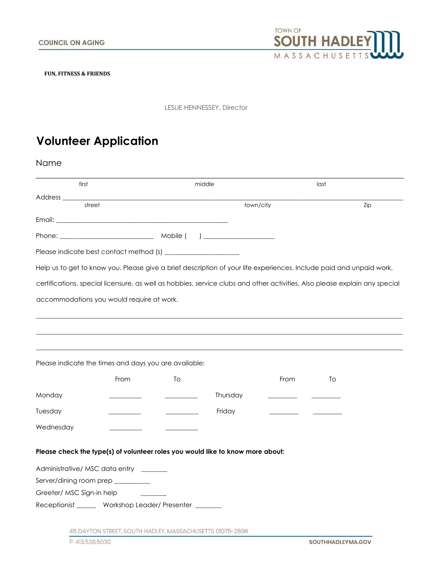

**FUN, FITNESS & FRIENDS** 

LESLIE HENNESSEY, Director

## **Volunteer Application**

Name

|                                                   |                                                               | middle                                                                         |                                                                                                                            | last |
|---------------------------------------------------|---------------------------------------------------------------|--------------------------------------------------------------------------------|----------------------------------------------------------------------------------------------------------------------------|------|
| Address ___________                               |                                                               |                                                                                |                                                                                                                            |      |
|                                                   | street                                                        |                                                                                | town/city                                                                                                                  | Zip  |
|                                                   |                                                               |                                                                                |                                                                                                                            |      |
|                                                   |                                                               |                                                                                |                                                                                                                            |      |
|                                                   |                                                               |                                                                                |                                                                                                                            |      |
|                                                   |                                                               |                                                                                | Help us to get to know you. Please give a brief description of your life experiences. Include paid and unpaid work,        |      |
|                                                   |                                                               |                                                                                | certifications, special licensure, as well as hobbies, service clubs and other activities. Also please explain any special |      |
|                                                   | accommodations you would require at work.                     |                                                                                |                                                                                                                            |      |
|                                                   |                                                               |                                                                                |                                                                                                                            |      |
|                                                   |                                                               |                                                                                |                                                                                                                            |      |
|                                                   | Please indicate the times and days you are available:<br>From | To                                                                             | From                                                                                                                       | To   |
| Monday                                            |                                                               | Thursday                                                                       |                                                                                                                            |      |
|                                                   |                                                               | Friday                                                                         |                                                                                                                            |      |
|                                                   |                                                               |                                                                                |                                                                                                                            |      |
|                                                   |                                                               | Please check the type(s) of volunteer roles you would like to know more about: |                                                                                                                            |      |
|                                                   | Administrative/MSC data entry                                 |                                                                                |                                                                                                                            |      |
|                                                   | Server/dining room prep __________                            |                                                                                |                                                                                                                            |      |
| Tuesday<br>Wednesday<br>Greeter/ MSC Sign-in help |                                                               |                                                                                |                                                                                                                            |      |

P: 413.538.5030

45 DAYTON STREET, SOUTH HADLEY, MASSACHUSETTS 01075-2896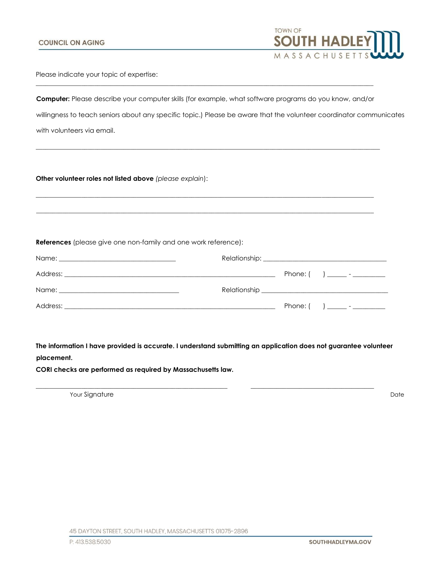

Please indicate your topic of expertise:

**Computer:** Please describe your computer skills (for example, what software programs do you know, and/or willingness to teach seniors about any specific topic.) Please be aware that the volunteer coordinator communicates with volunteers via email.

 $\_$  ,  $\_$  ,  $\_$  ,  $\_$  ,  $\_$  ,  $\_$  ,  $\_$  ,  $\_$  ,  $\_$  ,  $\_$  ,  $\_$  ,  $\_$  ,  $\_$  ,  $\_$  ,  $\_$  ,  $\_$  ,  $\_$  ,  $\_$  ,  $\_$  ,  $\_$  ,  $\_$  ,  $\_$  ,  $\_$  ,  $\_$  ,  $\_$  ,  $\_$  ,  $\_$  ,  $\_$  ,  $\_$  ,  $\_$  ,  $\_$  ,  $\_$  ,  $\_$  ,  $\_$  ,  $\_$  ,  $\_$  ,  $\_$  ,

\_\_\_\_\_\_\_\_\_\_\_\_\_\_\_\_\_\_\_\_\_\_\_\_\_\_\_\_\_\_\_\_\_\_\_\_\_\_\_\_\_\_\_\_\_\_\_\_\_\_\_\_\_\_\_\_\_\_\_\_\_\_\_\_\_\_\_\_\_\_\_\_\_\_\_\_\_\_\_\_\_\_\_\_\_\_\_\_\_\_\_\_\_\_\_\_\_\_\_\_\_\_\_\_\_\_

 $\_$  ,  $\_$  ,  $\_$  ,  $\_$  ,  $\_$  ,  $\_$  ,  $\_$  ,  $\_$  ,  $\_$  ,  $\_$  ,  $\_$  ,  $\_$  ,  $\_$  ,  $\_$  ,  $\_$  ,  $\_$  ,  $\_$  ,  $\_$  ,  $\_$  ,  $\_$  ,  $\_$  ,  $\_$  ,  $\_$  ,  $\_$  ,  $\_$  ,  $\_$  ,  $\_$  ,  $\_$  ,  $\_$  ,  $\_$  ,  $\_$  ,  $\_$  ,  $\_$  ,  $\_$  ,  $\_$  ,  $\_$  ,  $\_$  ,

 $\_$  ,  $\_$  ,  $\_$  ,  $\_$  ,  $\_$  ,  $\_$  ,  $\_$  ,  $\_$  ,  $\_$  ,  $\_$  ,  $\_$  ,  $\_$  ,  $\_$  ,  $\_$  ,  $\_$  ,  $\_$  ,  $\_$  ,  $\_$  ,  $\_$  ,  $\_$  ,  $\_$  ,  $\_$  ,  $\_$  ,  $\_$  ,  $\_$  ,  $\_$  ,  $\_$  ,  $\_$  ,  $\_$  ,  $\_$  ,  $\_$  ,  $\_$  ,  $\_$  ,  $\_$  ,  $\_$  ,  $\_$  ,  $\_$  ,

**Other volunteer roles not listed above** *(please explain*):

**References** (please give one non-family and one work reference):

| Address: |  | Phone: $($ ) _______ - __________ |
|----------|--|-----------------------------------|

**The information I have provided is accurate. I understand submitting an application does not guarantee volunteer placement.** 

 $\_$  ,  $\_$  ,  $\_$  ,  $\_$  ,  $\_$  ,  $\_$  ,  $\_$  ,  $\_$  ,  $\_$  ,  $\_$  ,  $\_$  ,  $\_$  ,  $\_$  ,  $\_$  ,  $\_$  ,  $\_$  ,  $\_$  ,  $\_$  ,  $\_$  ,  $\_$  ,  $\_$  ,  $\_$  ,  $\_$  ,  $\_$  ,  $\_$  ,  $\_$  ,  $\_$  ,  $\_$  ,  $\_$  ,  $\_$  ,  $\_$  ,  $\_$  ,  $\_$  ,  $\_$  ,  $\_$  ,  $\_$  ,  $\_$  ,

**CORI checks are performed as required by Massachusetts law.** 

Your Signature Date Date of the United States of the United States of the United States of the United States of the United States of the United States of the United States of the United States of the United States of the U

45 DAYTON STREET, SOUTH HADLEY, MASSACHUSETTS 01075-2896